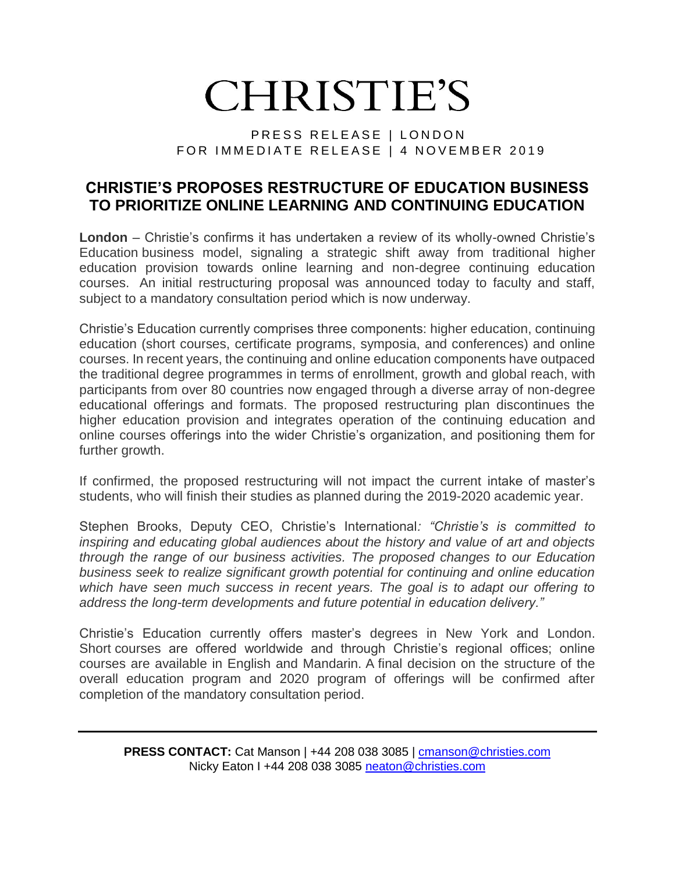## **CHRISTIE'S**

## PRESS RELEASE | LONDON FOR IMMEDIATE RELEASE | 4 NOVEMBER 2019

## **CHRISTIE'S PROPOSES RESTRUCTURE OF EDUCATION BUSINESS TO PRIORITIZE ONLINE LEARNING AND CONTINUING EDUCATION**

**London** – Christie's confirms it has undertaken a review of its wholly-owned Christie's Education business model, signaling a strategic shift away from traditional higher education provision towards online learning and non-degree continuing education courses. An initial restructuring proposal was announced today to faculty and staff, subject to a mandatory consultation period which is now underway.

Christie's Education currently comprises three components: higher education, continuing education (short courses, certificate programs, symposia, and conferences) and online courses. In recent years, the continuing and online education components have outpaced the traditional degree programmes in terms of enrollment, growth and global reach, with participants from over 80 countries now engaged through a diverse array of non-degree educational offerings and formats. The proposed restructuring plan discontinues the higher education provision and integrates operation of the continuing education and online courses offerings into the wider Christie's organization, and positioning them for further growth.

If confirmed, the proposed restructuring will not impact the current intake of master's students, who will finish their studies as planned during the 2019-2020 academic year.

Stephen Brooks, Deputy CEO, Christie's International*: "Christie's is committed to inspiring and educating global audiences about the history and value of art and objects through the range of our business activities. The proposed changes to our Education business seek to realize significant growth potential for continuing and online education*  which have seen much success in recent years. The goal is to adapt our offering to *address the long-term developments and future potential in education delivery."*

Christie's Education currently offers master's degrees in New York and London. Short courses are offered worldwide and through Christie's regional offices; online courses are available in English and Mandarin. A final decision on the structure of the overall education program and 2020 program of offerings will be confirmed after completion of the mandatory consultation period.